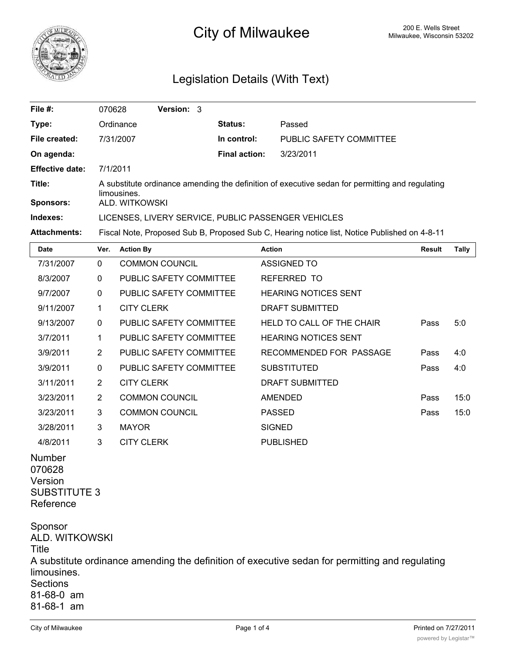

# **City of Milwaukee** 200 E. Wells Street 200 E. Wells Street

## Legislation Details (With Text)

| File $#$ :             | 070628                                                                                                         | Version: 3 |  |                      |                         |  |
|------------------------|----------------------------------------------------------------------------------------------------------------|------------|--|----------------------|-------------------------|--|
| Type:                  | Ordinance                                                                                                      |            |  | <b>Status:</b>       | Passed                  |  |
| File created:          | 7/31/2007                                                                                                      |            |  | In control:          | PUBLIC SAFETY COMMITTEE |  |
| On agenda:             |                                                                                                                |            |  | <b>Final action:</b> | 3/23/2011               |  |
| <b>Effective date:</b> | 7/1/2011                                                                                                       |            |  |                      |                         |  |
| Title:                 | A substitute ordinance amending the definition of executive sedan for permitting and regulating<br>limousines. |            |  |                      |                         |  |
| Sponsors:              | ALD. WITKOWSKI                                                                                                 |            |  |                      |                         |  |
| Indexes:               | LICENSES, LIVERY SERVICE, PUBLIC PASSENGER VEHICLES                                                            |            |  |                      |                         |  |
| <b>Attachments:</b>    | Fiscal Note, Proposed Sub B, Proposed Sub C, Hearing notice list, Notice Published on 4-8-11                   |            |  |                      |                         |  |

| Date                                               | Ver.           | <b>Action By</b>               | <b>Action</b>               | Result | <b>Tally</b> |
|----------------------------------------------------|----------------|--------------------------------|-----------------------------|--------|--------------|
| 7/31/2007                                          | $\mathbf{0}$   | <b>COMMON COUNCIL</b>          | <b>ASSIGNED TO</b>          |        |              |
| 8/3/2007                                           | $\mathbf{0}$   | PUBLIC SAFETY COMMITTEE        | REFERRED TO                 |        |              |
| 9/7/2007                                           | $\mathbf{0}$   | PUBLIC SAFETY COMMITTEE        | <b>HEARING NOTICES SENT</b> |        |              |
| 9/11/2007                                          | 1              | <b>CITY CLERK</b>              | DRAFT SUBMITTED             |        |              |
| 9/13/2007                                          | $\mathbf{0}$   | <b>PUBLIC SAFETY COMMITTEE</b> | HELD TO CALL OF THE CHAIR   | Pass   | 5:0          |
| 3/7/2011                                           | 1              | PUBLIC SAFETY COMMITTEE        | <b>HEARING NOTICES SENT</b> |        |              |
| 3/9/2011                                           | $\overline{2}$ | PUBLIC SAFETY COMMITTEE        | RECOMMENDED FOR PASSAGE     | Pass   | 4:0          |
| 3/9/2011                                           | $\mathbf{0}$   | <b>PUBLIC SAFETY COMMITTEE</b> | <b>SUBSTITUTED</b>          | Pass   | 4:0          |
| 3/11/2011                                          | $\overline{2}$ | <b>CITY CLERK</b>              | DRAFT SUBMITTED             |        |              |
| 3/23/2011                                          | $\overline{2}$ | <b>COMMON COUNCIL</b>          | <b>AMENDED</b>              | Pass   | 15:0         |
| 3/23/2011                                          | 3              | <b>COMMON COUNCIL</b>          | <b>PASSED</b>               | Pass   | 15:0         |
| 3/28/2011                                          | 3              | <b>MAYOR</b>                   | <b>SIGNED</b>               |        |              |
| 4/8/2011                                           | 3              | <b>CITY CLERK</b>              | <b>PUBLISHED</b>            |        |              |
| Number<br>070628<br>Version<br><b>SUBSTITUTE 3</b> |                |                                |                             |        |              |

Sponsor ALD. WITKOWSKI Title A substitute ordinance amending the definition of executive sedan for permitting and regulating limousines. **Sections** 81-68-0 am 81-68-1 am

Reference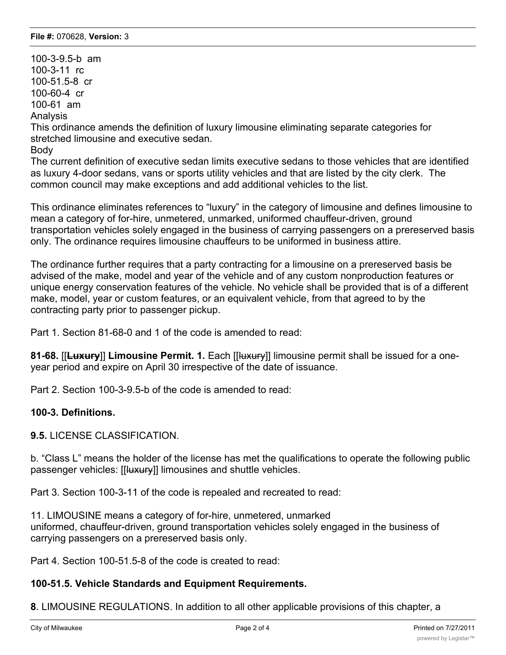100-3-9.5-b am 100-3-11 rc 100-51.5-8 cr 100-60-4 cr 100-61 am Analysis

This ordinance amends the definition of luxury limousine eliminating separate categories for stretched limousine and executive sedan.

Body

The current definition of executive sedan limits executive sedans to those vehicles that are identified as luxury 4-door sedans, vans or sports utility vehicles and that are listed by the city clerk. The common council may make exceptions and add additional vehicles to the list.

This ordinance eliminates references to "luxury" in the category of limousine and defines limousine to mean a category of for-hire, unmetered, unmarked, uniformed chauffeur-driven, ground transportation vehicles solely engaged in the business of carrying passengers on a prereserved basis only. The ordinance requires limousine chauffeurs to be uniformed in business attire.

The ordinance further requires that a party contracting for a limousine on a prereserved basis be advised of the make, model and year of the vehicle and of any custom nonproduction features or unique energy conservation features of the vehicle. No vehicle shall be provided that is of a different make, model, year or custom features, or an equivalent vehicle, from that agreed to by the contracting party prior to passenger pickup.

Part 1. Section 81-68-0 and 1 of the code is amended to read:

**81-68.** [[**Luxury**]] **Limousine Permit. 1.** Each [[luxury]] limousine permit shall be issued for a oneyear period and expire on April 30 irrespective of the date of issuance.

Part 2. Section 100-3-9.5-b of the code is amended to read:

### **100-3. Definitions.**

### **9.5.** LICENSE CLASSIFICATION.

b. "Class L" means the holder of the license has met the qualifications to operate the following public passenger vehicles: [[Huxury]] limousines and shuttle vehicles.

Part 3. Section 100-3-11 of the code is repealed and recreated to read:

11. LIMOUSINE means a category of for-hire, unmetered, unmarked uniformed, chauffeur-driven, ground transportation vehicles solely engaged in the business of carrying passengers on a prereserved basis only.

Part 4. Section 100-51.5-8 of the code is created to read:

### **100-51.5. Vehicle Standards and Equipment Requirements.**

**8**. LIMOUSINE REGULATIONS. In addition to all other applicable provisions of this chapter, a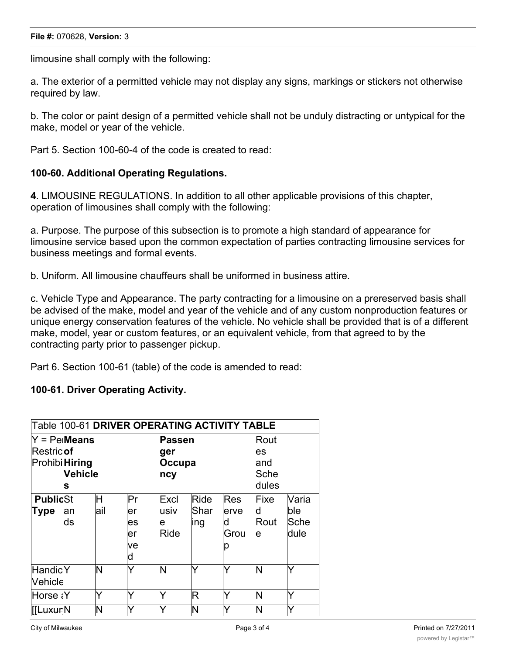limousine shall comply with the following:

a. The exterior of a permitted vehicle may not display any signs, markings or stickers not otherwise required by law.

b. The color or paint design of a permitted vehicle shall not be unduly distracting or untypical for the make, model or year of the vehicle.

Part 5. Section 100-60-4 of the code is created to read:

#### 100-60. Additional Operating Regulations.

4. LIMOUSINE REGULATIONS. In addition to all other applicable provisions of this chapter. operation of limousines shall comply with the following:

a. Purpose. The purpose of this subsection is to promote a high standard of appearance for limousine service based upon the common expectation of parties contracting limousine services for business meetings and formal events.

b. Uniform, All limousine chauffeurs shall be uniformed in business attire.

c. Vehicle Type and Appearance. The party contracting for a limousine on a prereserved basis shall be advised of the make, model and year of the vehicle and of any custom nonproduction features or unique energy conservation features of the vehicle. No vehicle shall be provided that is of a different make, model, year or custom features, or an equivalent vehicle, from that agreed to by the contracting party prior to passenger pickup.

Part 6. Section 100-61 (table) of the code is amended to read:

### 100-61. Driver Operating Activity.

| Table 100-61 DRIVER OPERATING ACTIVITY TABLE |                |      |     |        |      |      |       |       |
|----------------------------------------------|----------------|------|-----|--------|------|------|-------|-------|
|                                              | $Y = Pe$ Means |      |     | Passen |      |      | Rout  |       |
| Restricof                                    |                |      |     | ger    |      | es   |       |       |
| ProhibiHiring                                |                |      |     | Occupa |      | land |       |       |
|                                              | Vehicle        |      |     | ncy    |      |      | Sche  |       |
|                                              | S              |      |     |        |      |      | dules |       |
| <b>Public</b> St                             |                | H    | Pr  | Excl   | Ride | Res  | Fixe  | Varia |
| Type                                         | an             | lail | er  | lusiv  | Shar | erve | ld    | ble   |
|                                              | ds             |      | es  | le.    | ling | d    | Rout  | lSche |
|                                              |                |      | ler | Ride   |      | Grou | e     | ldule |
|                                              |                |      | ve  |        |      | р    |       |       |
|                                              |                |      | d   |        |      |      |       |       |
| Handic <sup>Y</sup>                          |                | N    | Y   | N      | Y    |      | N     | ✓     |
| Vehicle                                      |                |      |     |        |      |      |       |       |
|                                              |                | Y    | ⋎   | Y      | R    | Y    | ΙN    | v     |
| [[ <del>Luxur</del>  N                       |                | ΙN   | Y   | Y      | ΙN   | Y    | N     | Y     |